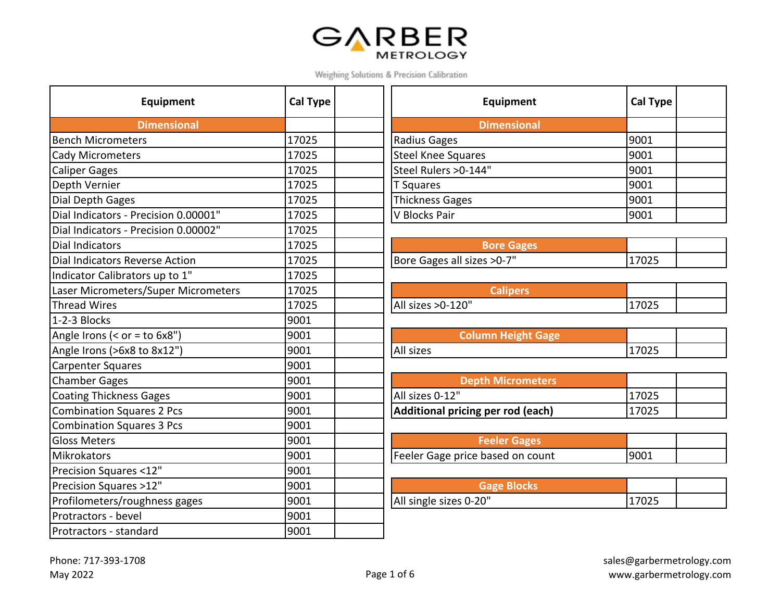## GARBER

Weighing Solutions & Precision Calibration

| Equipment                            | <b>Cal Type</b> | Equipment                         | Cal Ty |
|--------------------------------------|-----------------|-----------------------------------|--------|
| <b>Dimensional</b>                   |                 | <b>Dimensional</b>                |        |
| <b>Bench Micrometers</b>             | 17025           | Radius Gages                      | 9001   |
| <b>Cady Micrometers</b>              | 17025           | <b>Steel Knee Squares</b>         | 9001   |
| <b>Caliper Gages</b>                 | 17025           | Steel Rulers > 0-144"             | 9001   |
| Depth Vernier                        | 17025           | T Squares                         | 9001   |
| Dial Depth Gages                     | 17025           | <b>Thickness Gages</b>            | 9001   |
| Dial Indicators - Precision 0.00001" | 17025           | V Blocks Pair                     | 9001   |
| Dial Indicators - Precision 0.00002" | 17025           |                                   |        |
| <b>Dial Indicators</b>               | 17025           | <b>Bore Gages</b>                 |        |
| Dial Indicators Reverse Action       | 17025           | Bore Gages all sizes > 0-7"       | 17025  |
| Indicator Calibrators up to 1"       | 17025           |                                   |        |
| Laser Micrometers/Super Micrometers  | 17025           | <b>Calipers</b>                   |        |
| <b>Thread Wires</b>                  | 17025           | All sizes > 0-120"                | 17025  |
| 1-2-3 Blocks                         | 9001            |                                   |        |
| Angle Irons (< $or = to 6x8"$ )      | 9001            | <b>Column Height Gage</b>         |        |
| Angle Irons (>6x8 to 8x12")          | 9001            | All sizes                         | 17025  |
| <b>Carpenter Squares</b>             | 9001            |                                   |        |
| <b>Chamber Gages</b>                 | 9001            | <b>Depth Micrometers</b>          |        |
| <b>Coating Thickness Gages</b>       | 9001            | All sizes 0-12"                   | 17025  |
| <b>Combination Squares 2 Pcs</b>     | 9001            | Additional pricing per rod (each) | 17025  |
| <b>Combination Squares 3 Pcs</b>     | 9001            |                                   |        |
| <b>Gloss Meters</b>                  | 9001            | <b>Feeler Gages</b>               |        |
| <b>Mikrokators</b>                   | 9001            | Feeler Gage price based on count  | 9001   |
| Precision Squares <12"               | 9001            |                                   |        |
| Precision Squares >12"               | 9001            | <b>Gage Blocks</b>                |        |
| Profilometers/roughness gages        | 9001            | All single sizes 0-20"            | 17025  |
| Protractors - bevel                  | 9001            |                                   |        |
| Protractors - standard               | 9001            |                                   |        |

| <b>Equipment</b> | <b>Cal Type</b> | Equipment             | <b>Cal Type</b> |  |
|------------------|-----------------|-----------------------|-----------------|--|
| Dimensional      |                 | <b>Dimensional</b>    |                 |  |
|                  | 17025           | Radius Gages          | 9001            |  |
|                  | 17025           | Steel Knee Squares    | 9001            |  |
|                  | 17025           | Steel Rulers > 0-144" | 9001            |  |
|                  | 17025           | T Squares             | 9001            |  |
|                  | 17025           | Thickness Gages       | 9001            |  |
| ecision 0.00001" | 17025           | V Blocks Pair         | 9001            |  |
|                  |                 |                       |                 |  |

| <b>Bore Gages</b>         |       |  |
|---------------------------|-------|--|
| ore Gages all sizes >0-7" | 17025 |  |

| <b>Calipers</b>    |       |  |
|--------------------|-------|--|
| All sizes > 0-120" | 17025 |  |

| Column Height Gage |       |  |
|--------------------|-------|--|
| All sizes          | 17025 |  |

| <b>Depth Micrometers</b>                 |       |  |
|------------------------------------------|-------|--|
| All sizes 0-12"                          | 17025 |  |
| <b>Additional pricing per rod (each)</b> | 17025 |  |

| <b>Feeler Gages</b>             |       |  |
|---------------------------------|-------|--|
| eeler Gage price based on count | 19001 |  |

| Gage Blocks            |       |  |
|------------------------|-------|--|
| All single sizes 0-20" | 17025 |  |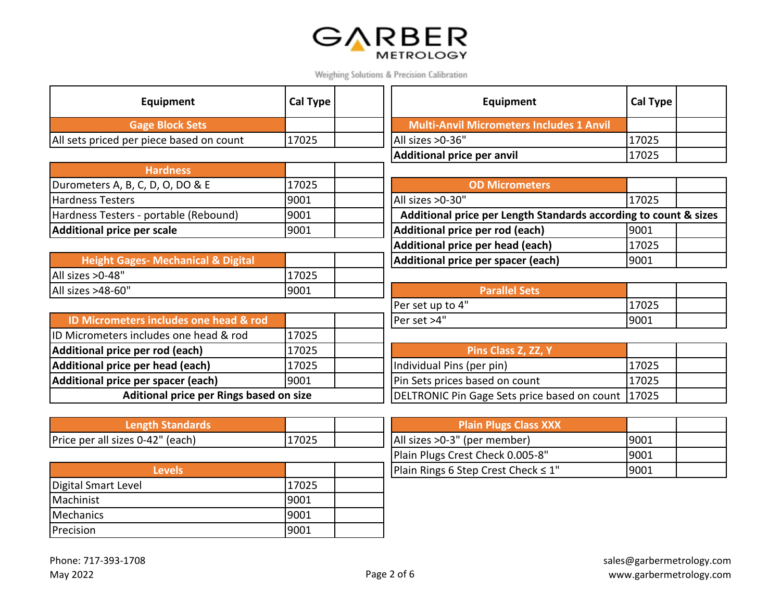

 $\overline{\phantom{0}}$ 

| Equipment                                     | <b>Cal Type</b> | Equipment                                                        | <b>Cal Type</b> |
|-----------------------------------------------|-----------------|------------------------------------------------------------------|-----------------|
| <b>Gage Block Sets</b>                        |                 | <b>Multi-Anvil Micrometers Includes 1 Anvil</b>                  |                 |
| All sets priced per piece based on count      | 17025           | All sizes > 0-36"                                                | 17025           |
|                                               |                 | Additional price per anvil                                       | 17025           |
| <b>Hardness</b>                               |                 |                                                                  |                 |
| Durometers A, B, C, D, O, DO & E              | 17025           | <b>OD Micrometers</b>                                            |                 |
| <b>Hardness Testers</b>                       | 9001            | All sizes >0-30"                                                 | 17025           |
| Hardness Testers - portable (Rebound)         | 9001            | Additional price per Length Standards according to count & sizes |                 |
| <b>Additional price per scale</b>             | 9001            | Additional price per rod (each)                                  | 9001            |
|                                               |                 | Additional price per head (each)                                 | 17025           |
| <b>Height Gages- Mechanical &amp; Digital</b> |                 | Additional price per spacer (each)                               | 9001            |
| All sizes > 0-48"                             | 17025           |                                                                  |                 |
| All sizes >48-60"                             | 9001            | <b>Parallel Sets</b>                                             |                 |
|                                               |                 | Per set up to 4"                                                 | 17025           |
| ID Micrometers includes one head & rod        |                 | Per set >4"                                                      | 9001            |
| ID Micrometers includes one head & rod        | 17025           |                                                                  |                 |
| Additional price per rod (each)               | 17025           | Pins Class Z, ZZ, Y                                              |                 |
| Additional price per head (each)              | 17025           | Individual Pins (per pin)                                        | 17025           |
| Additional price per spacer (each)            | 9001            | Pin Sets prices based on count                                   | 17025           |
| Aditional price per Rings based on size       |                 | DELTRONIC Pin Gage Sets price based on count                     | 17025           |
|                                               |                 |                                                                  |                 |
| <b>Length Standards</b>                       |                 | <b>Plain Plugs Class XXX</b>                                     |                 |
| Price per all sizes 0-42" (each)              | 17025           | All sizes >0-3" (per member)                                     | 9001            |
|                                               |                 | Plain Plugs Crest Check 0.005-8"                                 | 9001            |
| <b>Levels</b>                                 |                 | Plain Rings 6 Step Crest Check ≤ 1"                              | 9001            |
| Digital Smart Level                           | 17025           |                                                                  |                 |
| Machinist                                     | 9001            |                                                                  |                 |
| <b>Mechanics</b>                              | 9001            |                                                                  |                 |
| Precision                                     | 9001            |                                                                  |                 |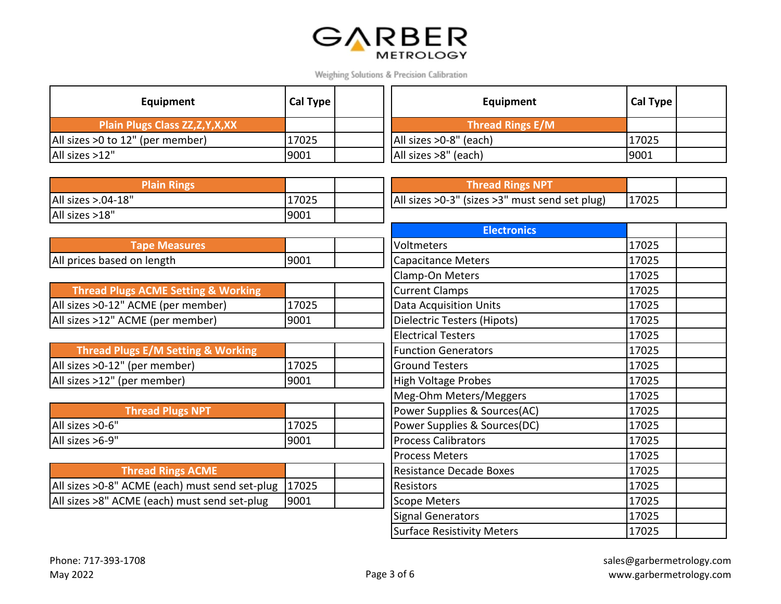

| Equipment                                | Cal Type | Equipment              | Cal Type |  |
|------------------------------------------|----------|------------------------|----------|--|
| <b>Plain Plugs Class ZZ, Z, Y, X, XX</b> |          | Thread Rings E/M       |          |  |
| All sizes >0 to 12" (per member)         | 17025    | All sizes >0-8" (each) | 17025    |  |
| All sizes >12"                           | 9001     | All sizes >8" (each)   | 9001     |  |

| <b>Plain Rings</b>                             |       | <b>Thread Rings NPT</b>                        |       |  |
|------------------------------------------------|-------|------------------------------------------------|-------|--|
| All sizes >.04-18"                             | 17025 | All sizes >0-3" (sizes >3" must send set plug) | 17025 |  |
| All sizes >18"                                 | 9001  |                                                |       |  |
|                                                |       | <b>Electronics</b>                             |       |  |
| <b>Tape Measures</b>                           |       | Voltmeters                                     | 17025 |  |
| All prices based on length                     | 9001  | Capacitance Meters                             | 17025 |  |
|                                                |       | Clamp-On Meters                                | 17025 |  |
| <b>Thread Plugs ACME Setting &amp; Working</b> |       | <b>Current Clamps</b>                          | 17025 |  |
| All sizes > 0-12" ACME (per member)            | 17025 | <b>Data Acquisition Units</b>                  | 17025 |  |
| All sizes >12" ACME (per member)               | 9001  | Dielectric Testers (Hipots)                    | 17025 |  |
|                                                |       | <b>Electrical Testers</b>                      | 17025 |  |
| <b>Thread Plugs E/M Setting &amp; Working</b>  |       | <b>Function Generators</b>                     | 17025 |  |
| All sizes >0-12" (per member)                  | 17025 | <b>Ground Testers</b>                          | 17025 |  |
| All sizes >12" (per member)                    | 9001  | High Voltage Probes                            | 17025 |  |
|                                                |       | Meg-Ohm Meters/Meggers                         | 17025 |  |
| <b>Thread Plugs NPT</b>                        |       | Power Supplies & Sources(AC)                   | 17025 |  |
| All sizes > 0-6"                               | 17025 | Power Supplies & Sources(DC)                   | 17025 |  |
| All sizes >6-9"                                | 9001  | <b>Process Calibrators</b>                     | 17025 |  |
|                                                |       | <b>Process Meters</b>                          | 17025 |  |
| <b>Thread Rings ACME</b>                       |       | <b>Resistance Decade Boxes</b>                 | 17025 |  |
| All sizes >0-8" ACME (each) must send set-plug | 17025 | <b>Resistors</b>                               | 17025 |  |
| All sizes >8" ACME (each) must send set-plug   | 9001  | Scope Meters                                   | 17025 |  |
|                                                |       | <b>Signal Generators</b>                       | 17025 |  |
|                                                |       | <b>Surface Resistivity Meters</b>              | 17025 |  |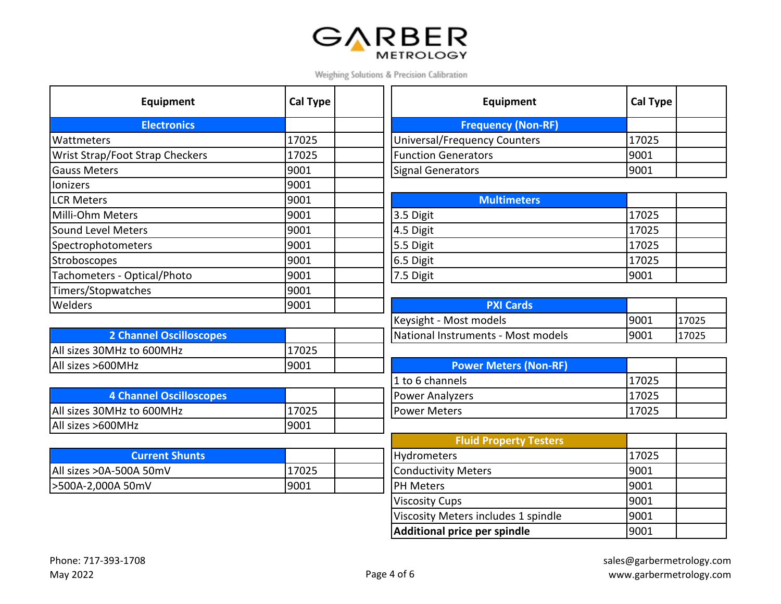## **GARBER**

Weighing Solutions & Precision Calibration

| Equipment                              | <b>Cal Type</b> | Equipment                           | Cal Ty |
|----------------------------------------|-----------------|-------------------------------------|--------|
| <b>Electronics</b>                     |                 | <b>Frequency (Non-RF)</b>           |        |
| <b>Wattmeters</b>                      | 17025           | <b>Universal/Frequency Counters</b> | 17025  |
| <b>Wrist Strap/Foot Strap Checkers</b> | 17025           | <b>Function Generators</b>          | 9001   |
| <b>Gauss Meters</b>                    | 9001            | <b>Signal Generators</b>            | 9001   |
| lonizers                               | 9001            |                                     |        |
| <b>LCR Meters</b>                      | 9001            | <b>Multimeters</b>                  |        |
| Milli-Ohm Meters                       | 9001            | 3.5 Digit                           | 17025  |
| Sound Level Meters                     | 9001            | 4.5 Digit                           | 17025  |
| Spectrophotometers                     | 9001            | 5.5 Digit                           | 17025  |
| Stroboscopes                           | 9001            | 6.5 Digit                           | 17025  |
| Tachometers - Optical/Photo            | 9001            | 7.5 Digit                           | 9001   |
| Timers/Stopwatches                     | 9001            |                                     |        |
| <b>Welders</b>                         | 9001            | <b>PXI Cards</b>                    |        |

| <b>2 Channel Oscilloscopes</b> |       | National Instruments - Most models |
|--------------------------------|-------|------------------------------------|
| All sizes 30MHz to 600MHz      | 17025 |                                    |
| All sizes >600MHz              | 9001  | <b>Power Meters (Non-RF)</b>       |

| <b>4 Channel Oscilloscopes</b> |       | <b>IPower Analyzers</b> | .7025 |
|--------------------------------|-------|-------------------------|-------|
| All sizes 30MHz to 600MHz      | .7025 | <b>Power Meters</b>     | .7025 |
| All sizes >600MHz              | 9001  |                         |       |

| 'Current Shunts          |       | <b>Hydrometers</b>         | 1702 |
|--------------------------|-------|----------------------------|------|
| All sizes > 0A-500A 50mV | 17025 | <b>Conductivity Meters</b> | 9001 |
| 500A-2,000A 50mV         | 9001  | <b>PH Meters</b>           | 9001 |

| <b>Equipment</b>   | Cal Type | Equipment                    | Cal Type |  |
|--------------------|----------|------------------------------|----------|--|
| <b>Electronics</b> |          | <b>Frequency (Non-RF)</b>    |          |  |
|                    | 17025    | Universal/Frequency Counters | 17025    |  |
| trap Checkers      | 17025    | <b>Function Generators</b>   | 9001     |  |
|                    | 9001     | Signal Generators            | 9001     |  |

| <b>Multimeters</b> |       |  |
|--------------------|-------|--|
| 3.5 Digit          | 17025 |  |
| 4.5 Digit          | 17025 |  |
| 5.5 Digit          | 17025 |  |
| 6.5 Digit          | 17025 |  |
| 7.5 Digit          | 9001  |  |

|                                | 9001 | <b>PXI Cards</b>                   |       |       |
|--------------------------------|------|------------------------------------|-------|-------|
|                                |      | Keysight - Most models             | '9001 | 17025 |
| <b>2 Channel Oscilloscopes</b> |      | National Instruments - Most models | '9001 | 17025 |

| <b>Power Meters (Non-RF)</b> |        |  |
|------------------------------|--------|--|
| 1 to 6 channels              | 117025 |  |
| <b>Power Analyzers</b>       | 117025 |  |
| Power Meters                 | 117025 |  |

|       | <b>Fluid Property Testers</b>       |       |  |
|-------|-------------------------------------|-------|--|
|       | Hydrometers                         | 17025 |  |
| 17025 | Conductivity Meters                 | 9001  |  |
| 9001  | <b>PH Meters</b>                    | 9001  |  |
|       | <b>Viscosity Cups</b>               | 9001  |  |
|       | Viscosity Meters includes 1 spindle | 9001  |  |
|       | Additional price per spindle        | 9001  |  |
|       |                                     |       |  |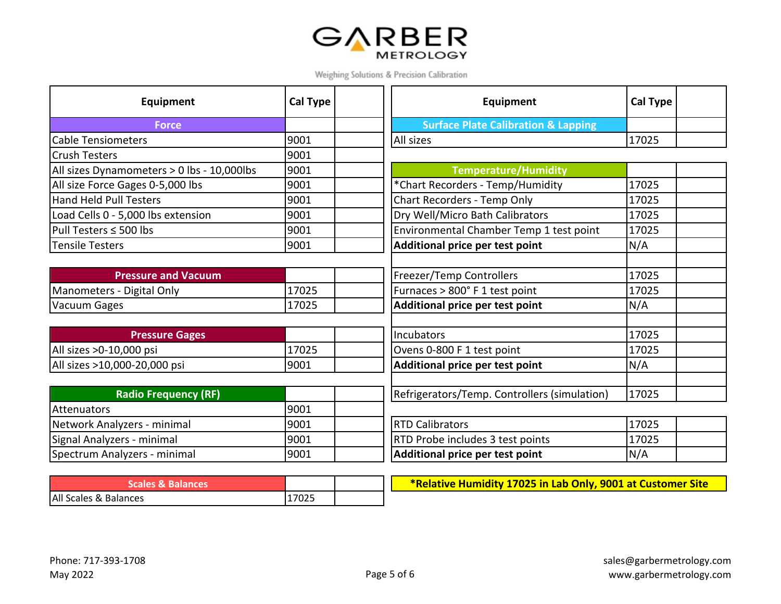

| Equipment                                  | <b>Cal Type</b> | Equipment                                      | Cal Type |
|--------------------------------------------|-----------------|------------------------------------------------|----------|
| <b>Force</b>                               |                 | <b>Surface Plate Calibration &amp; Lapping</b> |          |
| <b>Cable Tensiometers</b>                  | 9001            | All sizes                                      | 17025    |
| <b>Crush Testers</b>                       | 9001            |                                                |          |
| All sizes Dynamometers > 0 lbs - 10,000lbs | 9001            | <b>Temperature/Humidity</b>                    |          |
| All size Force Gages 0-5,000 lbs           | 9001            | *Chart Recorders - Temp/Humidity               | 17025    |
| Hand Held Pull Testers                     | 9001            | Chart Recorders - Temp Only                    | 17025    |
| Load Cells 0 - 5,000 lbs extension         | 9001            | Dry Well/Micro Bath Calibrators                | 17025    |
| $ P$ ull Testers $\leq$ 500 lbs            | 9001            | Environmental Chamber Temp 1 test point        | 17025    |
| <b>Tensile Testers</b>                     | 9001            | Additional price per test point                | N/A      |
|                                            |                 |                                                |          |
| <b>Pressure and Vacuum</b>                 |                 | Freezer/Temp Controllers                       | 17025    |
| Manometers - Digital Only                  | 17025           | Furnaces > 800° F 1 test point                 | 17025    |
| Vacuum Gages                               | 17025           | Additional price per test point                | N/A      |
|                                            |                 |                                                |          |
| <b>Pressure Gages</b>                      |                 | Incubators                                     | 17025    |
| All sizes >0-10,000 psi                    | 17025           | Ovens 0-800 F 1 test point                     | 17025    |
| All sizes >10,000-20,000 psi               | 9001            | Additional price per test point                | N/A      |
|                                            |                 |                                                |          |
| <b>Radio Frequency (RF)</b>                |                 | Refrigerators/Temp. Controllers (simulation)   | 17025    |
| Attenuators                                | 9001            |                                                |          |
| Network Analyzers - minimal                | 9001            | <b>RTD Calibrators</b>                         | 17025    |
| Signal Analyzers - minimal                 | 9001            | RTD Probe includes 3 test points               | 17025    |
| Spectrum Analyzers - minimal               | 9001            | Additional price per test point                | N/A      |

| Scales & Balances     |       |  |
|-----------------------|-------|--|
| All Scales & Balances | 17025 |  |

**\*Relative Humidity 17025 in Lab Only, 9001 at Customer Site**